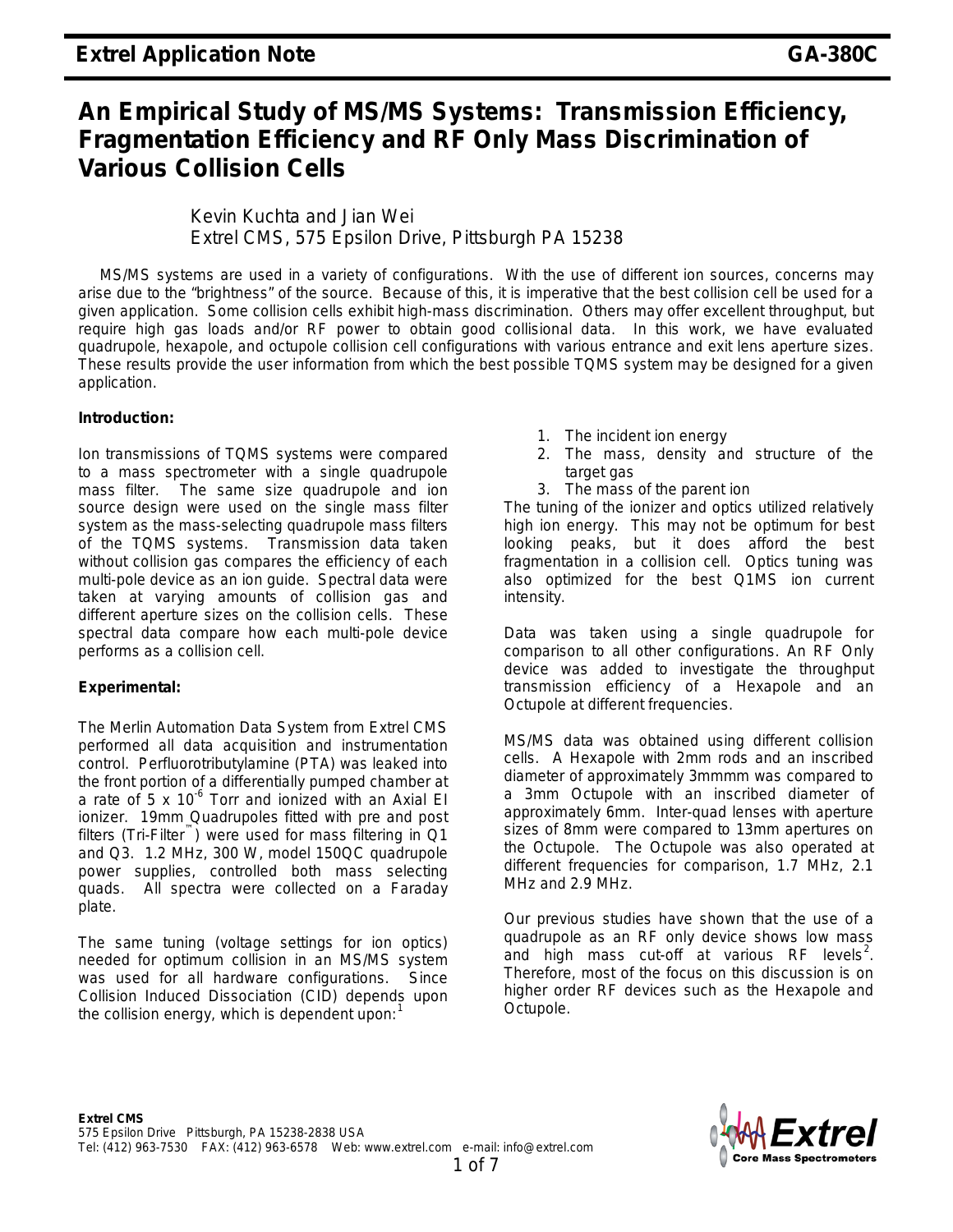# **An Empirical Study of MS/MS Systems: Transmission Efficiency, Fragmentation Efficiency and RF Only Mass Discrimination of Various Collision Cells**

Kevin Kuchta and Jian Wei *Extrel CMS, 575 Epsilon Drive, Pittsburgh PA 15238*

 MS/MS systems are used in a variety of configurations. With the use of different ion sources, concerns may arise due to the "brightness" of the source. Because of this, it is imperative that the best collision cell be used for a given application. Some collision cells exhibit high-mass discrimination. Others may offer excellent throughput, but require high gas loads and/or RF power to obtain good collisional data. In this work, we have evaluated quadrupole, hexapole, and octupole collision cell configurations with various entrance and exit lens aperture sizes. These results provide the user information from which the best possible TQMS system may be designed for a given application.

## **Introduction:**

Ion transmissions of TQMS systems were compared to a mass spectrometer with a single quadrupole mass filter. The same size quadrupole and ion source design were used on the single mass filter system as the mass-selecting quadrupole mass filters of the TQMS systems. Transmission data taken without collision gas compares the efficiency of each multi-pole device as an ion guide. Spectral data were taken at varying amounts of collision gas and different aperture sizes on the collision cells. These spectral data compare how each multi-pole device performs as a collision cell.

## **Experimental:**

The Merlin Automation Data System from Extrel CMS performed all data acquisition and instrumentation control. Perfluorotributylamine (PTA) was leaked into the front portion of a differentially pumped chamber at a rate of 5 x  $10^6$  Torr and ionized with an Axial EI ionizer. 19mm Quadrupoles fitted with pre and post filters (Tri-Filter<sup>™</sup>) were used for mass filtering in Q1 and Q3. 1.2 MHz, 300 W, model 150QC quadrupole power supplies, controlled both mass selecting quads. All spectra were collected on a Faraday plate.

The same tuning (voltage settings for ion optics) needed for optimum collision in an MS/MS system was used for all hardware configurations. Since Collision Induced Dissociation (CID) depends upon the collision energy, which is dependent upon:

- 1. The incident ion energy
- 2. The mass, density and structure of the target gas
- 3. The mass of the parent ion

The tuning of the ionizer and optics utilized relatively high ion energy. This may not be optimum for best looking peaks, but it does afford the best fragmentation in a collision cell. Optics tuning was also optimized for the best Q1MS ion current intensity.

Data was taken using a single quadrupole for comparison to all other configurations. An RF Only device was added to investigate the throughput transmission efficiency of a Hexapole and an Octupole at different frequencies.

MS/MS data was obtained using different collision cells. A Hexapole with 2mm rods and an inscribed diameter of approximately 3mmmm was compared to a 3mm Octupole with an inscribed diameter of approximately 6mm. Inter-quad lenses with aperture sizes of 8mm were compared to 13mm apertures on the Octupole. The Octupole was also operated at different frequencies for comparison, 1.7 MHz, 2.1 MHz and 2.9 MHz.

Our previous studies have shown that the use of a quadrupole as an RF only device shows low mass and high mass cut-off at various RF levels<sup>[2](#page-6-0)</sup>. Therefore, most of the focus on this discussion is on higher order RF devices such as the Hexapole and Octupole.

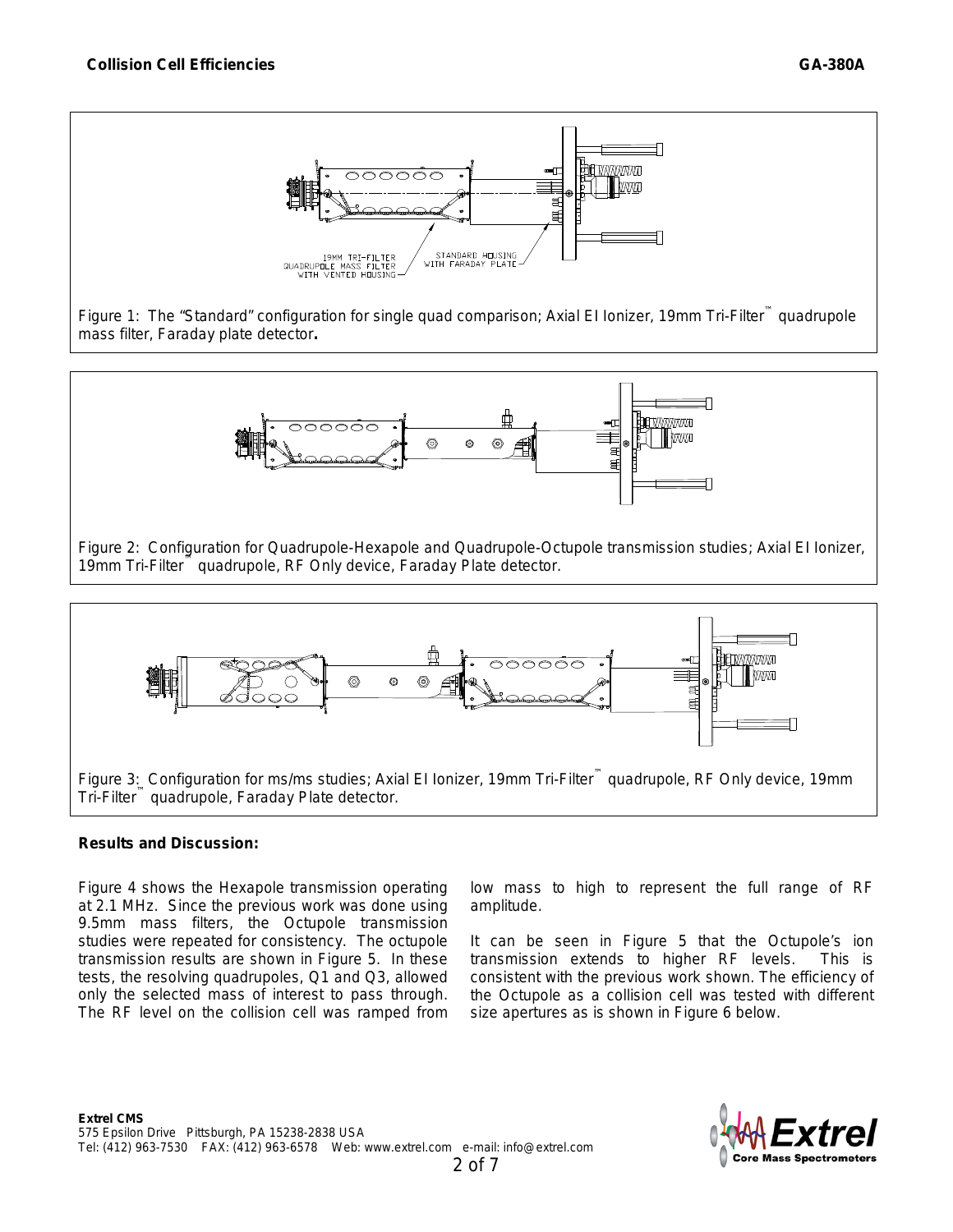

Figure 1: The "Standard" configuration for single quad comparison; Axial EI Ionizer, 19mm Tri-Filter™ quadrupole mass filter, Faraday plate detector**.**



Figure 2: Configuration for Quadrupole-Hexapole and Quadrupole-Octupole transmission studies; Axial EI Ionizer, 19mm Tri-Filter™ quadrupole, RF Only device, Faraday Plate detector.



# **Results and Discussion:**

Figure 4 shows the Hexapole transmission operating at 2.1 MHz. Since the previous work was done using 9.5mm mass filters, the Octupole transmission studies were repeated for consistency. The octupole transmission results are shown in Figure 5. In these tests, the resolving quadrupoles, Q1 and Q3, allowed only the selected mass of interest to pass through. The RF level on the collision cell was ramped from low mass to high to represent the full range of RF amplitude.

It can be seen in Figure 5 that the Octupole's ion transmission extends to higher RF levels. This is consistent with the previous work shown. The efficiency of the Octupole as a collision cell was tested with different size apertures as is shown in Figure 6 below.

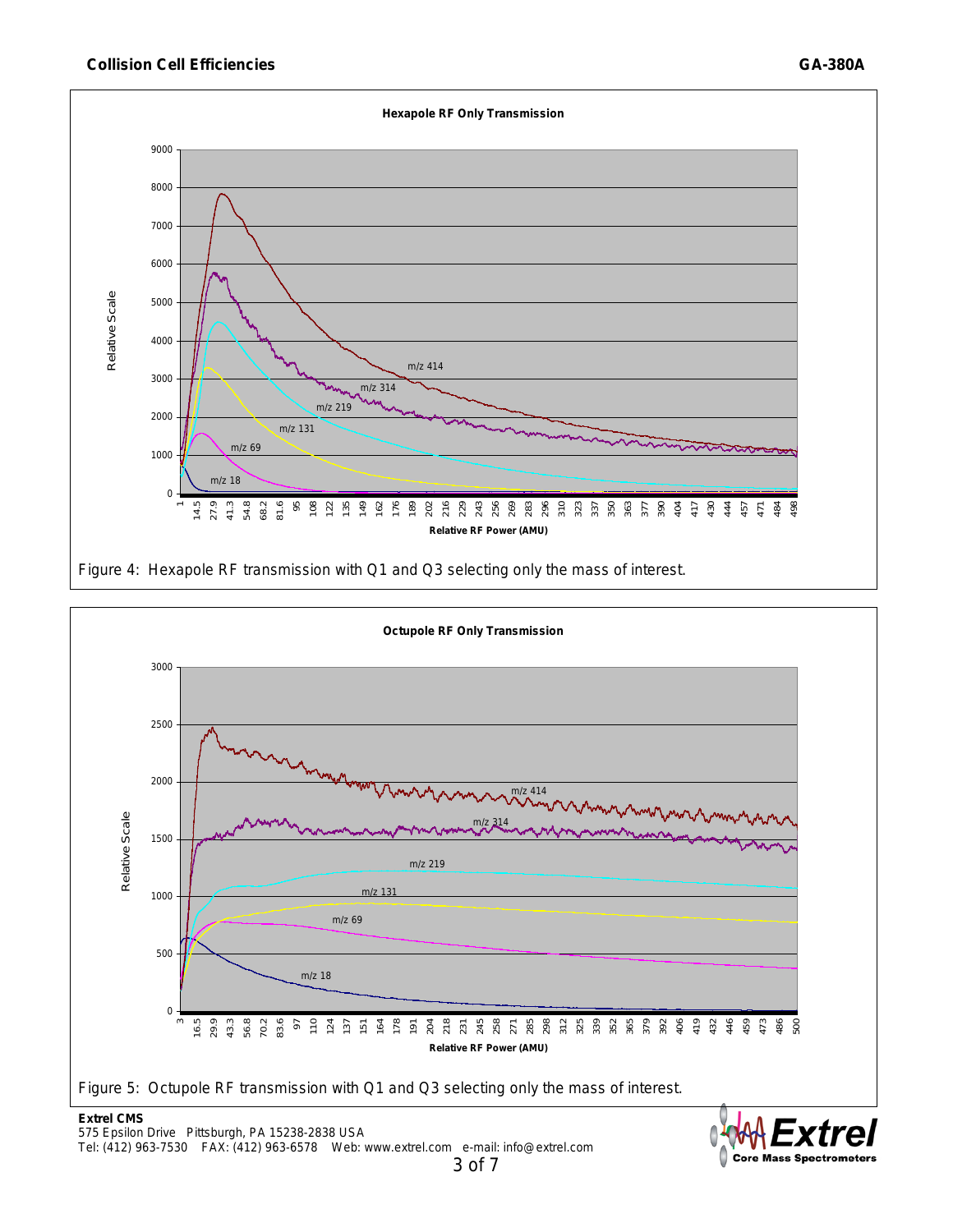



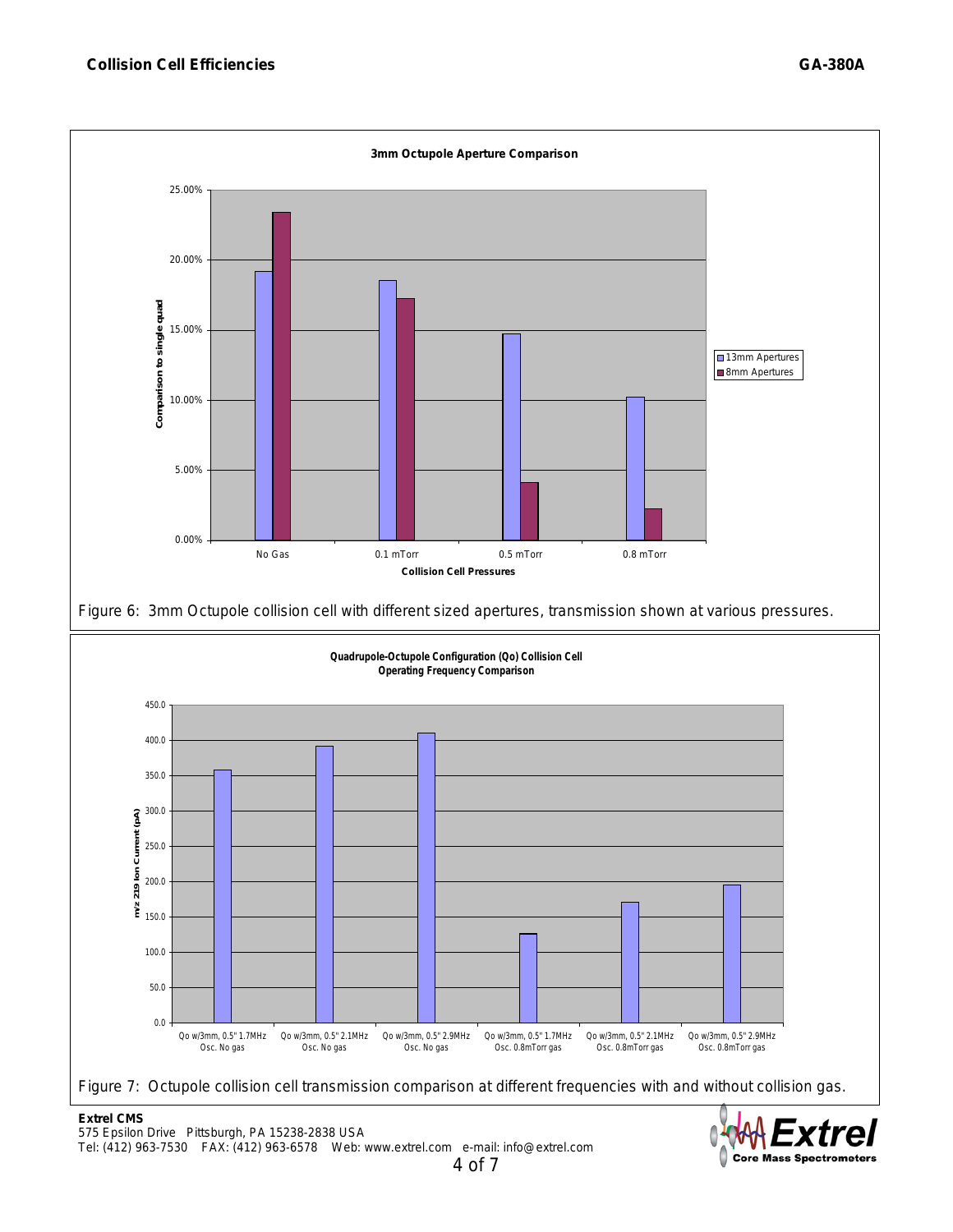

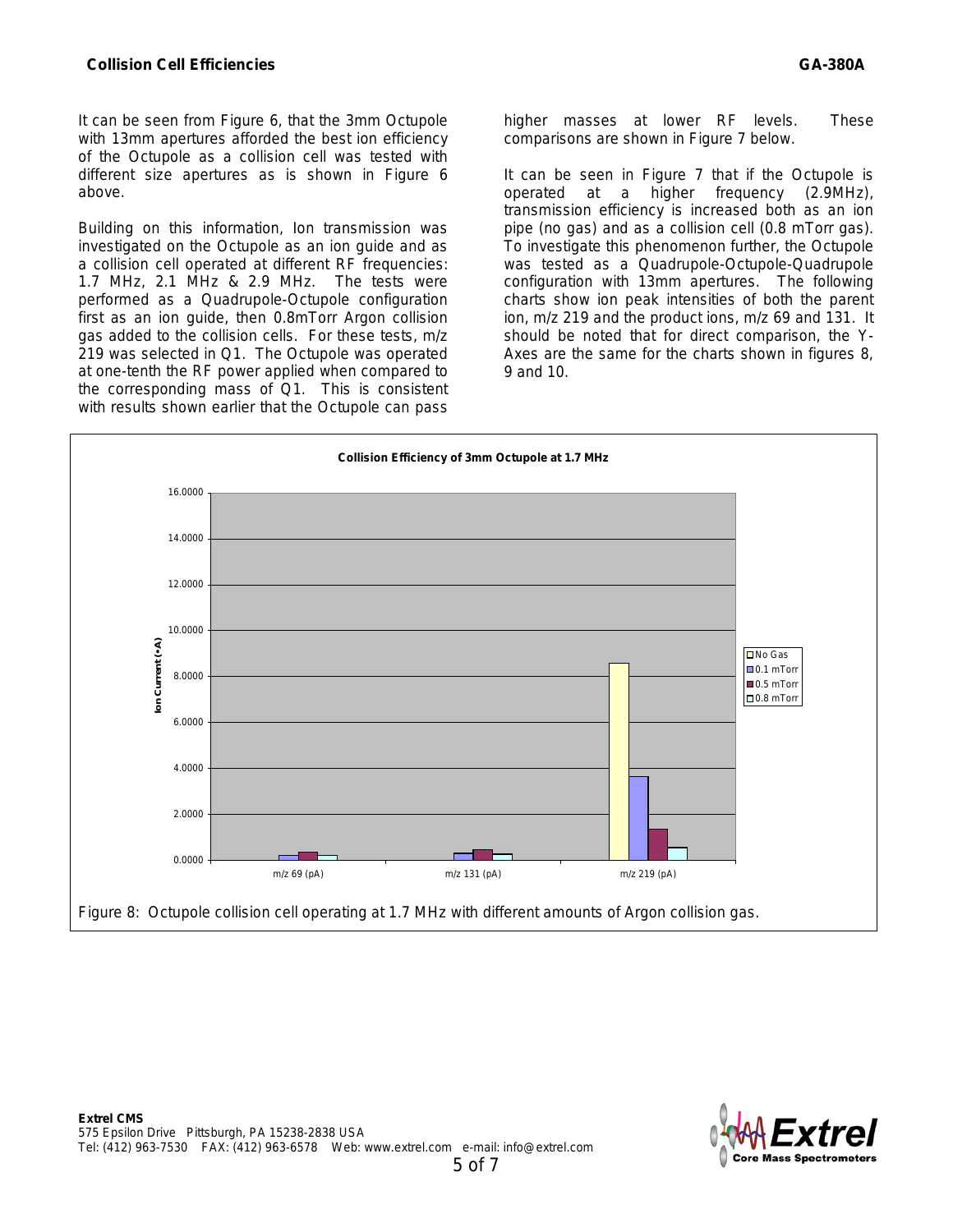It can be seen from Figure 6, that the 3mm Octupole with 13mm apertures afforded the best ion efficiency of the Octupole as a collision cell was tested with different size apertures as is shown in Figure 6 above.

Building on this information, Ion transmission was investigated on the Octupole as an ion guide and as a collision cell operated at different RF frequencies: 1.7 MHz, 2.1 MHz & 2.9 MHz. The tests were performed as a Quadrupole-Octupole configuration first as an ion guide, then 0.8mTorr Argon collision gas added to the collision cells. For these tests, m/z 219 was selected in Q1. The Octupole was operated at one-tenth the RF power applied when compared to the corresponding mass of Q1. This is consistent with results shown earlier that the Octupole can pass higher masses at lower RF levels. These comparisons are shown in Figure 7 below.

It can be seen in Figure 7 that if the Octupole is operated at a higher frequency (2.9MHz), transmission efficiency is increased both as an ion pipe (no gas) and as a collision cell (0.8 mTorr gas). To investigate this phenomenon further, the Octupole was tested as a Quadrupole-Octupole-Quadrupole configuration with 13mm apertures. The following charts show ion peak intensities of both the parent ion, m/z 219 and the product ions, m/z 69 and 131. It should be noted that for direct comparison, the Y-Axes are the same for the charts shown in figures 8. 9 and 10.



5 of 7

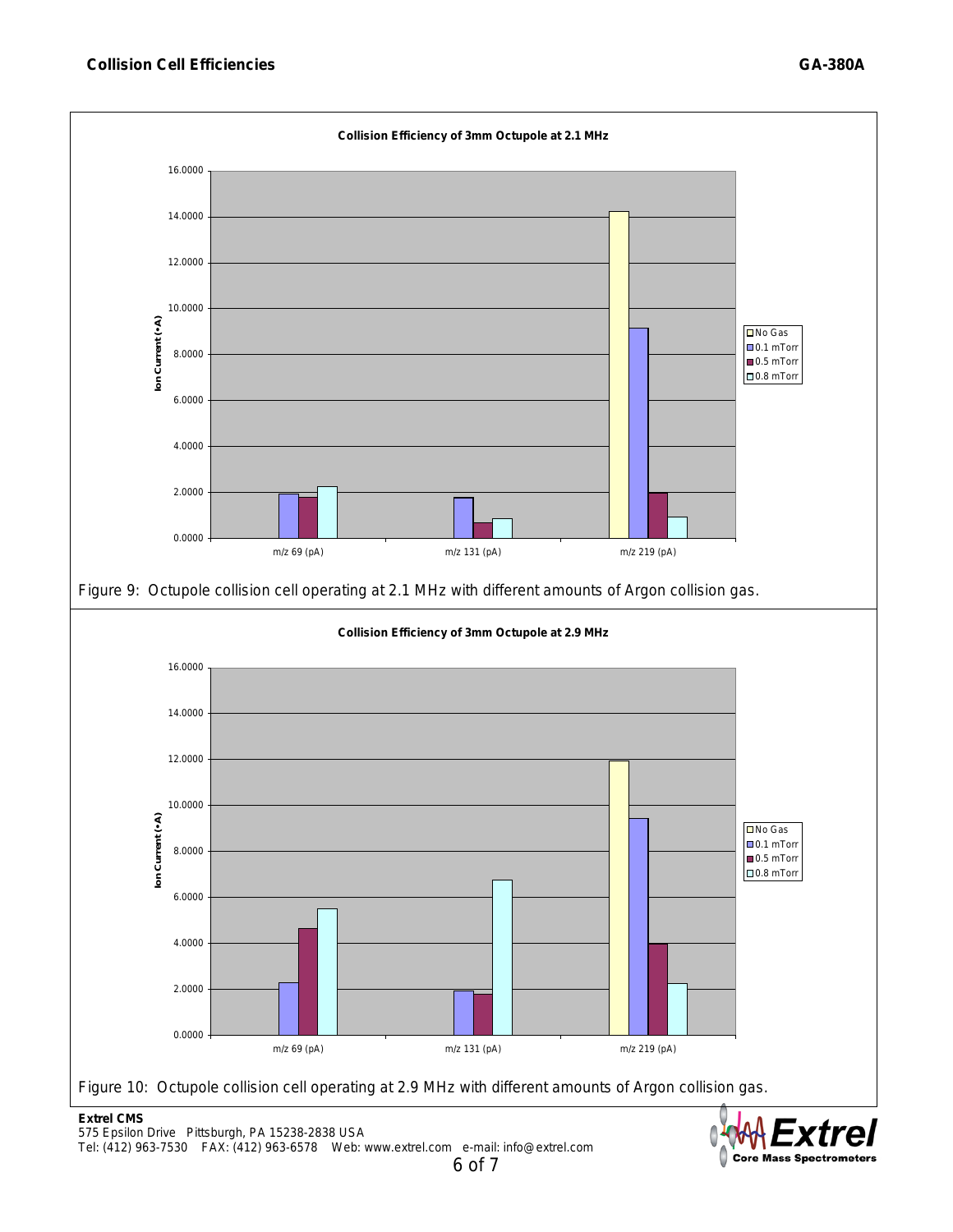